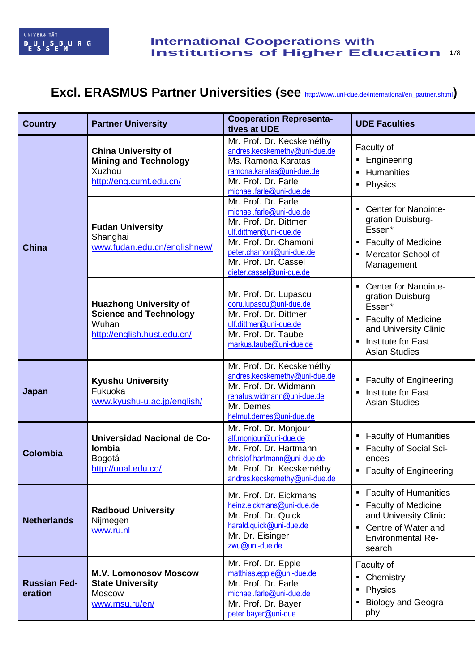# Excl. ERASMUS Partner Universities (see **[http://www.uni-due.de/international/en\\_partner.shtml](http://www.uni-due.de/international/en_partner.shtml))**

| <b>Country</b>                 | <b>Partner University</b>                                                                              | <b>Cooperation Representa-</b><br>tives at UDE                                                                                                                                                              | <b>UDE Faculties</b>                                                                                                                                                 |
|--------------------------------|--------------------------------------------------------------------------------------------------------|-------------------------------------------------------------------------------------------------------------------------------------------------------------------------------------------------------------|----------------------------------------------------------------------------------------------------------------------------------------------------------------------|
| <b>China</b>                   | <b>China University of</b><br><b>Mining and Technology</b><br>Xuzhou<br>http://eng.cumt.edu.cn/        | Mr. Prof. Dr. Kecskeméthy<br>andres.kecskemethy@uni-due.de<br>Ms. Ramona Karatas<br>ramona.karatas@uni-due.de<br>Mr. Prof. Dr. Farle<br>michael.farle@uni-due.de                                            | Faculty of<br>Engineering<br>• Humanities<br>• Physics                                                                                                               |
|                                | <b>Fudan University</b><br>Shanghai<br>www.fudan.edu.cn/englishnew/                                    | Mr. Prof. Dr. Farle<br>michael.farle@uni-due.de<br>Mr. Prof. Dr. Dittmer<br>ulf.dittmer@uni-due.de<br>Mr. Prof. Dr. Chamoni<br>peter.chamoni@uni-due.de<br>Mr. Prof. Dr. Cassel<br>dieter.cassel@uni-due.de | <b>Center for Nanointe-</b><br>gration Duisburg-<br>Essen*<br><b>Faculty of Medicine</b><br>٠<br>Mercator School of<br>$\blacksquare$<br>Management                  |
|                                | <b>Huazhong University of</b><br><b>Science and Technology</b><br>Wuhan<br>http://english.hust.edu.cn/ | Mr. Prof. Dr. Lupascu<br>doru.lupascu@uni-due.de<br>Mr. Prof. Dr. Dittmer<br>ulf.dittmer@uni-due.de<br>Mr. Prof. Dr. Taube<br>markus.taube@uni-due.de                                                       | <b>Center for Nanointe-</b><br>gration Duisburg-<br>Essen*<br><b>Faculty of Medicine</b><br>٠<br>and University Clinic<br>Institute for East<br><b>Asian Studies</b> |
| Japan                          | <b>Kyushu University</b><br>Fukuoka<br>www.kyushu-u.ac.jp/english/                                     | Mr. Prof. Dr. Kecskeméthy<br>andres.kecskemethy@uni-due.de<br>Mr. Prof. Dr. Widmann<br>renatus.widmann@uni-due.de<br>Mr. Demes<br>helmut.demes@uni-due.de                                                   | • Faculty of Engineering<br>Institute for East<br>٠<br><b>Asian Studies</b>                                                                                          |
| <b>Colombia</b>                | <b>Universidad Nacional de Co-</b><br><b>lombia</b><br>Bogotá<br>http://unal.edu.co/                   | Mr. Prof. Dr. Monjour<br>alf.monjour@uni-due.de<br>Mr. Prof. Dr. Hartmann<br>christof.hartmann@uni-due.de<br>Mr. Prof. Dr. Kecskeméthy<br>andres.kecskemethy@uni-due.de                                     | <b>Faculty of Humanities</b><br><b>Faculty of Social Sci-</b><br>ences<br><b>Faculty of Engineering</b>                                                              |
| <b>Netherlands</b>             | <b>Radboud University</b><br>Nijmegen<br>www.ru.nl                                                     | Mr. Prof. Dr. Eickmans<br>heinz.eickmans@uni-due.de<br>Mr. Prof. Dr. Quick<br>harald.quick@uni-due.de<br>Mr. Dr. Eisinger<br>zwu@uni-due.de                                                                 | • Faculty of Humanities<br><b>Faculty of Medicine</b><br>and University Clinic<br>Centre of Water and<br><b>Environmental Re-</b><br>search                          |
| <b>Russian Fed-</b><br>eration | <b>M.V. Lomonosov Moscow</b><br><b>State University</b><br><b>Moscow</b><br>www.msu.ru/en/             | Mr. Prof. Dr. Epple<br>matthias.epple@uni-due.de<br>Mr. Prof. Dr. Farle<br>michael.farle@uni-due.de<br>Mr. Prof. Dr. Bayer<br>peter.bayer@uni-due                                                           | Faculty of<br>Chemistry<br>٠<br>Physics<br>Ξ<br><b>Biology and Geogra-</b><br>phy                                                                                    |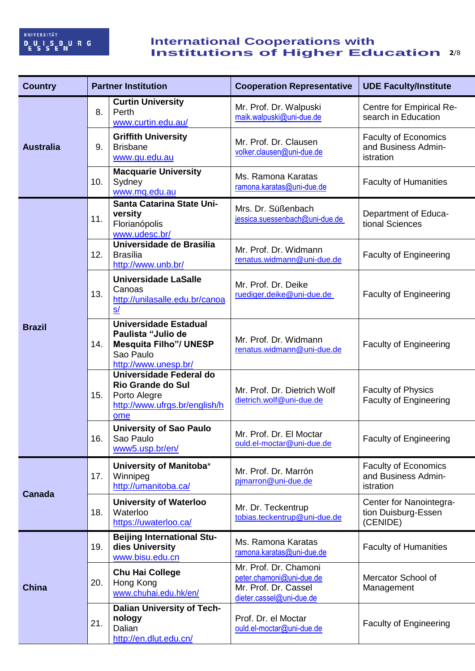## **Example 1 Institutions of Higher Education** 2/8 **International Cooperations with Institutions of Higher Education**

| <b>Country</b>   | <b>Partner Institution</b> |                                                                                                                          | <b>Cooperation Representative</b>                                                                     | <b>UDE Faculty/Institute</b>                                    |
|------------------|----------------------------|--------------------------------------------------------------------------------------------------------------------------|-------------------------------------------------------------------------------------------------------|-----------------------------------------------------------------|
| <b>Australia</b> | 8.                         | <b>Curtin University</b><br>Perth<br>www.curtin.edu.au/                                                                  | Mr. Prof. Dr. Walpuski<br>maik.walpuski@uni-due.de                                                    | Centre for Empirical Re-<br>search in Education                 |
|                  | 9.                         | <b>Griffith University</b><br><b>Brisbane</b><br>www.gu.edu.au                                                           | Mr. Prof. Dr. Clausen<br>volker.clausen@uni-due.de                                                    | <b>Faculty of Economics</b><br>and Business Admin-<br>istration |
|                  | 10.                        | <b>Macquarie University</b><br>Sydney<br>www.mq.edu.au                                                                   | Ms. Ramona Karatas<br>ramona.karatas@uni-due.de                                                       | <b>Faculty of Humanities</b>                                    |
|                  | 11.                        | Santa Catarina State Uni-<br>versity<br>Florianópolis<br>www.udesc.br/                                                   | Mrs. Dr. Süßenbach<br>jessica.suessenbach@uni-due.de                                                  | Department of Educa-<br>tional Sciences                         |
|                  | 12.                        | Universidade de Brasilia<br><b>Brasília</b><br>http://www.unb.br/                                                        | Mr. Prof. Dr. Widmann<br>renatus.widmann@uni-due.de                                                   | <b>Faculty of Engineering</b>                                   |
| <b>Brazil</b>    | 13.                        | <b>Universidade LaSalle</b><br>Canoas<br>http://unilasalle.edu.br/canoa<br>S/                                            | Mr. Prof. Dr. Deike<br>ruediger.deike@uni-due.de                                                      | <b>Faculty of Engineering</b>                                   |
|                  | 14.                        | <b>Universidade Estadual</b><br>Paulista "Julio de<br><b>Mesquita Filho"/ UNESP</b><br>Sao Paulo<br>http://www.unesp.br/ | Mr. Prof. Dr. Widmann<br>renatus.widmann@uni-due.de                                                   | <b>Faculty of Engineering</b>                                   |
|                  | 15.                        | Universidade Federal do<br><b>Rio Grande do Sul</b><br>Porto Alegre<br>http://www.ufrgs.br/english/h<br>ome              | Mr. Prof. Dr. Dietrich Wolf<br>dietrich.wolf@uni-due.de                                               | <b>Faculty of Physics</b><br><b>Faculty of Engineering</b>      |
|                  | 16.                        | <b>University of Sao Paulo</b><br>Sao Paulo<br>www5.usp.br/en/                                                           | Mr. Prof. Dr. El Moctar<br>ould.el-moctar@uni-due.de                                                  | <b>Faculty of Engineering</b>                                   |
| <b>Canada</b>    | 17.                        | University of Manitoba*<br>Winnipeg<br>http://umanitoba.ca/                                                              | Mr. Prof. Dr. Marrón<br>pjmarron@uni-due.de                                                           | <b>Faculty of Economics</b><br>and Business Admin-<br>istration |
|                  | 18.                        | <b>University of Waterloo</b><br>Waterloo<br>https://uwaterloo.ca/                                                       | Mr. Dr. Teckentrup<br>tobias.teckentrup@uni-due.de                                                    | Center for Nanointegra-<br>tion Duisburg-Essen<br>(CENIDE)      |
| <b>China</b>     | 19.                        | <b>Beijing International Stu-</b><br>dies University<br>www.bisu.edu.cn                                                  | Ms. Ramona Karatas<br>ramona.karatas@uni-due.de                                                       | <b>Faculty of Humanities</b>                                    |
|                  | 20.                        | <b>Chu Hai College</b><br>Hong Kong<br>www.chuhai.edu.hk/en/                                                             | Mr. Prof. Dr. Chamoni<br>peter.chamoni@uni-due.de<br>Mr. Prof. Dr. Cassel<br>dieter.cassel@uni-due.de | Mercator School of<br>Management                                |
|                  | 21.                        | <b>Dalian University of Tech-</b><br>nology<br>Dalian<br>http://en.dlut.edu.cn/                                          | Prof. Dr. el Moctar<br>ould.el-moctar@uni-due.de                                                      | <b>Faculty of Engineering</b>                                   |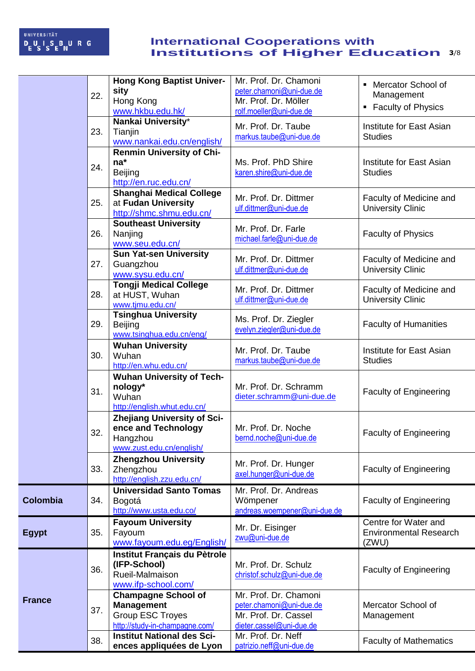## **Example 1 Institutions of Higher Education** 3/8 **International Cooperations with Institutions of Higher Education**

|                 | 22. | <b>Hong Kong Baptist Univer-</b><br>sity<br>Hong Kong<br>www.hkbu.edu.hk/                                    | Mr. Prof. Dr. Chamoni<br>peter.chamoni@uni-due.de<br>Mr. Prof. Dr. Möller<br>rolf.moeller@uni-due.de  | <b>Mercator School of</b><br>Management<br><b>Faculty of Physics</b><br>٠ |
|-----------------|-----|--------------------------------------------------------------------------------------------------------------|-------------------------------------------------------------------------------------------------------|---------------------------------------------------------------------------|
|                 | 23. | Nankai University*<br>Tianjin<br>www.nankai.edu.cn/english/                                                  | Mr. Prof. Dr. Taube<br>markus.taube@uni-due.de                                                        | Institute for East Asian<br><b>Studies</b>                                |
|                 | 24. | <b>Renmin University of Chi-</b><br>$na^*$<br><b>Beijing</b><br>http://en.ruc.edu.cn/                        | Ms. Prof. PhD Shire<br>karen.shire@uni-due.de                                                         | Institute for East Asian<br><b>Studies</b>                                |
|                 | 25. | <b>Shanghai Medical College</b><br>at Fudan University<br>http://shmc.shmu.edu.cn/                           | Mr. Prof. Dr. Dittmer<br>ulf.dittmer@uni-due.de                                                       | Faculty of Medicine and<br><b>University Clinic</b>                       |
|                 | 26. | <b>Southeast University</b><br>Nanjing<br>www.seu.edu.cn/                                                    | Mr. Prof. Dr. Farle<br>michael.farle@uni-due.de                                                       | <b>Faculty of Physics</b>                                                 |
|                 | 27. | <b>Sun Yat-sen University</b><br>Guangzhou<br>www.sysu.edu.cn/                                               | Mr. Prof. Dr. Dittmer<br>ulf.dittmer@uni-due.de                                                       | Faculty of Medicine and<br><b>University Clinic</b>                       |
|                 | 28. | <b>Tongji Medical College</b><br>at HUST, Wuhan<br>www.tjmu.edu.cn/                                          | Mr. Prof. Dr. Dittmer<br>ulf.dittmer@uni-due.de                                                       | Faculty of Medicine and<br><b>University Clinic</b>                       |
|                 | 29. | <b>Tsinghua University</b><br><b>Beijing</b><br>www.tsinghua.edu.cn/eng/                                     | Ms. Prof. Dr. Ziegler<br>evelyn.ziegler@uni-due.de                                                    | <b>Faculty of Humanities</b>                                              |
|                 | 30. | <b>Wuhan University</b><br>Wuhan<br>http://en.whu.edu.cn/                                                    | Mr. Prof. Dr. Taube<br>markus.taube@uni-due.de                                                        | Institute for East Asian<br><b>Studies</b>                                |
|                 | 31. | <b>Wuhan University of Tech-</b><br>nology*<br>Wuhan<br>http://english.whut.edu.cn/                          | Mr. Prof. Dr. Schramm<br>dieter.schramm@uni-due.de                                                    | <b>Faculty of Engineering</b>                                             |
|                 | 32. | <b>Zhejiang University of Sci-</b><br>ence and Technology<br>Hangzhou<br>www.zust.edu.cn/english/            | Mr. Prof. Dr. Noche<br>bernd.noche@uni-due.de                                                         | <b>Faculty of Engineering</b>                                             |
|                 | 33. | <b>Zhengzhou University</b><br>Zhengzhou<br>http://english.zzu.edu.cn/                                       | Mr. Prof. Dr. Hunger<br>axel.hunger@uni-due.de                                                        | <b>Faculty of Engineering</b>                                             |
| <b>Colombia</b> | 34. | <b>Universidad Santo Tomas</b><br>Bogotá<br>http://www.usta.edu.co/                                          | Mr. Prof. Dr. Andreas<br>Wömpener<br>andreas.woempener@uni-due.de                                     | <b>Faculty of Engineering</b>                                             |
| <b>Egypt</b>    | 35. | <b>Fayoum University</b><br>Fayoum<br>www.fayoum.edu.eg/English/                                             | Mr. Dr. Eisinger<br>zwu@uni-due.de                                                                    | Centre for Water and<br><b>Environmental Research</b><br>(ZWU)            |
|                 | 36. | Institut Français du Pètrole<br>(IFP-School)<br>Rueil-Malmaison<br>www.ifp-school.com/                       | Mr. Prof. Dr. Schulz<br>christof.schulz@uni-due.de                                                    | <b>Faculty of Engineering</b>                                             |
| <b>France</b>   | 37. | <b>Champagne School of</b><br><b>Management</b><br><b>Group ESC Troyes</b><br>http://study-in-champagne.com/ | Mr. Prof. Dr. Chamoni<br>peter.chamoni@uni-due.de<br>Mr. Prof. Dr. Cassel<br>dieter.cassel@uni-due.de | Mercator School of<br>Management                                          |
|                 | 38. | <b>Institut National des Sci-</b><br>ences appliquées de Lyon                                                | Mr. Prof. Dr. Neff<br>patrizio.neff@uni-due.de                                                        | <b>Faculty of Mathematics</b>                                             |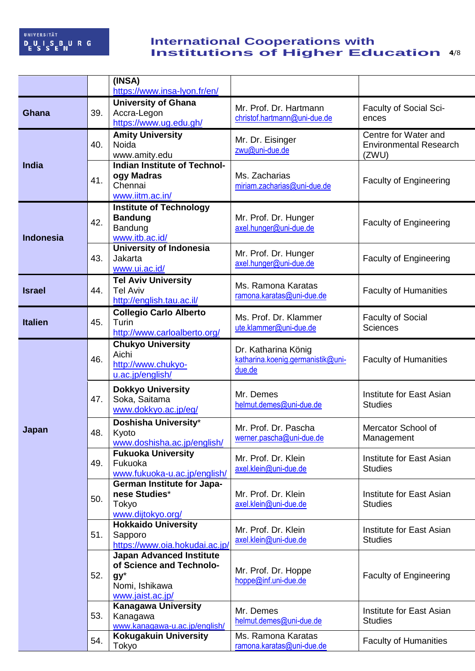## **Example 11 Institutions of Higher Education 4/8 International Cooperations with Institutions of Higher Education**

|                  |     | (INSA)<br>https://www.insa-lyon.fr/en/        |                                                |                                             |
|------------------|-----|-----------------------------------------------|------------------------------------------------|---------------------------------------------|
|                  |     | <b>University of Ghana</b>                    | Mr. Prof. Dr. Hartmann                         | Faculty of Social Sci-                      |
| <b>Ghana</b>     | 39. | Accra-Legon<br>https://www.ug.edu.gh/         | christof.hartmann@uni-due.de                   | ences                                       |
|                  |     | <b>Amity University</b>                       | Mr. Dr. Eisinger                               | Centre for Water and                        |
|                  | 40. | Noida<br>www.amity.edu                        | zwu@uni-due.de                                 | <b>Environmental Research</b><br>(ZWU)      |
| <b>India</b>     |     | <b>Indian Institute of Technol-</b>           |                                                |                                             |
|                  | 41. | ogy Madras                                    | Ms. Zacharias                                  | <b>Faculty of Engineering</b>               |
|                  |     | Chennai<br>www.iitm.ac.in/                    | miriam.zacharias@uni-due.de                    |                                             |
|                  |     | <b>Institute of Technology</b>                |                                                |                                             |
|                  | 42. | <b>Bandung</b>                                | Mr. Prof. Dr. Hunger                           | <b>Faculty of Engineering</b>               |
| <b>Indonesia</b> |     | Bandung<br>www.itb.ac.id/                     | axel.hunger@uni-due.de                         |                                             |
|                  |     | <b>University of Indonesia</b>                |                                                |                                             |
|                  | 43. | Jakarta                                       | Mr. Prof. Dr. Hunger<br>axel.hunger@uni-due.de | <b>Faculty of Engineering</b>               |
|                  |     | www.ui.ac.id/                                 |                                                |                                             |
| <b>Israel</b>    | 44. | <b>Tel Aviv University</b><br><b>Tel Aviv</b> | Ms. Ramona Karatas                             | <b>Faculty of Humanities</b>                |
|                  |     | http://english.tau.ac.il/                     | ramona.karatas@uni-due.de                      |                                             |
|                  |     | <b>Collegio Carlo Alberto</b>                 | Ms. Prof. Dr. Klammer                          | <b>Faculty of Social</b><br><b>Sciences</b> |
| <b>Italien</b>   | 45. | Turin<br>http://www.carloalberto.org/         | ute.klammer@uni-due.de                         |                                             |
|                  |     | <b>Chukyo University</b>                      | Dr. Katharina König                            |                                             |
|                  | 46. | Aichi                                         | katharina.koenig.germanistik@uni-              | <b>Faculty of Humanities</b>                |
|                  |     | http://www.chukyo-<br>u.ac.jp/english/        | due.de                                         |                                             |
|                  |     | <b>Dokkyo University</b>                      |                                                |                                             |
|                  | 47. | Soka, Saitama                                 | Mr. Demes<br>helmut.demes@uni-due.de           | Institute for East Asian<br><b>Studies</b>  |
|                  |     | www.dokkyo.ac.jp/eg/                          |                                                |                                             |
| Japan            | 48. | Doshisha University*<br>Kyoto                 | Mr. Prof. Dr. Pascha                           | Mercator School of                          |
|                  |     | www.doshisha.ac.jp/english/                   | werner.pascha@uni-due.de                       | Management                                  |
|                  | 49. | <b>Fukuoka University</b><br>Fukuoka          | Mr. Prof. Dr. Klein                            | Institute for East Asian                    |
|                  |     | www.fukuoka-u.ac.jp/english/                  | axel.klein@uni-due.de                          | <b>Studies</b>                              |
|                  | 50. | <b>German Institute for Japa-</b>             |                                                |                                             |
|                  |     | nese Studies*<br>Tokyo                        | Mr. Prof. Dr. Klein<br>axel.klein@uni-due.de   | Institute for East Asian<br><b>Studies</b>  |
|                  |     | www.dijtokyo.org/                             |                                                |                                             |
|                  |     | <b>Hokkaido University</b>                    | Mr. Prof. Dr. Klein                            | Institute for East Asian                    |
|                  | 51. | Sapporo<br>https://www.oia.hokudai.ac.jp/     | axel.klein@uni-due.de                          | <b>Studies</b>                              |
|                  |     | <b>Japan Advanced Institute</b>               |                                                |                                             |
|                  |     | of Science and Technolo-                      | Mr. Prof. Dr. Hoppe                            |                                             |
|                  | 52. | $gy^*$<br>Nomi, Ishikawa                      | hoppe@inf.uni-due.de                           | <b>Faculty of Engineering</b>               |
|                  |     | www.jaist.ac.jp/                              |                                                |                                             |
|                  | 53. | <b>Kanagawa University</b>                    | Mr. Demes                                      | Institute for East Asian                    |
|                  |     | Kanagawa<br>www.kanagawa-u.ac.jp/english/     | helmut.demes@uni-due.de                        | <b>Studies</b>                              |
|                  | 54. | <b>Kokugakuin University</b>                  | Ms. Ramona Karatas                             | <b>Faculty of Humanities</b>                |
|                  |     | Tokyo                                         | ramona.karatas@uni-due.de                      |                                             |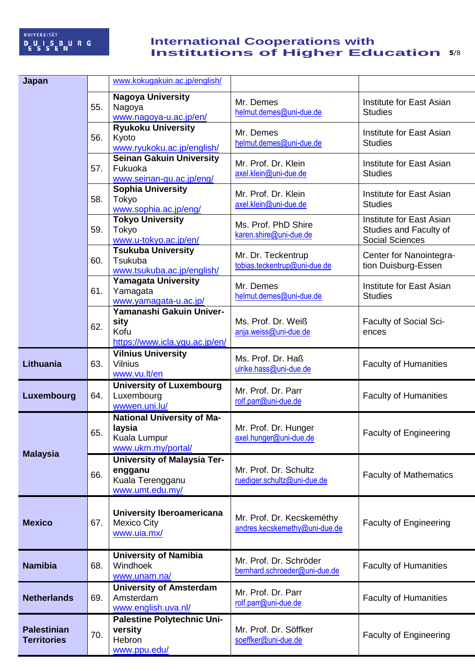## **Example 1 Institutions of Higher Education 5/8 International Cooperations with Institutions of Higher Education**

| Japan                                    |     | www.kokugakuin.ac.jp/english/                                                        |                                                            |                                                                              |
|------------------------------------------|-----|--------------------------------------------------------------------------------------|------------------------------------------------------------|------------------------------------------------------------------------------|
|                                          | 55. | <b>Nagoya University</b><br>Nagoya<br>www.nagoya-u.ac.jp/en/                         | Mr. Demes<br>helmut.demes@uni-due.de                       | Institute for East Asian<br><b>Studies</b>                                   |
|                                          | 56. | <b>Ryukoku University</b><br>Kyoto<br>www.ryukoku.ac.jp/english/                     | Mr. Demes<br>helmut.demes@uni-due.de                       | Institute for East Asian<br><b>Studies</b>                                   |
|                                          | 57. | <b>Seinan Gakuin University</b><br>Fukuoka<br>www.seinan-gu.ac.jp/eng/               | Mr. Prof. Dr. Klein<br>axel.klein@uni-due.de               | Institute for East Asian<br><b>Studies</b>                                   |
|                                          | 58. | <b>Sophia University</b><br>Tokyo<br>www.sophia.ac.jp/eng/                           | Mr. Prof. Dr. Klein<br>axel.klein@uni-due.de               | Institute for East Asian<br><b>Studies</b>                                   |
|                                          | 59. | <b>Tokyo University</b><br>Tokyo<br>www.u-tokyo.ac.jp/en/                            | Ms. Prof. PhD Shire<br>karen.shire@uni-due.de              | Institute for East Asian<br>Studies and Faculty of<br><b>Social Sciences</b> |
|                                          | 60. | <b>Tsukuba University</b><br>Tsukuba<br>www.tsukuba.ac.jp/english/                   | Mr. Dr. Teckentrup<br>tobias.teckentrup@uni-due.de         | Center for Nanointegra-<br>tion Duisburg-Essen                               |
|                                          | 61. | <b>Yamagata University</b><br>Yamagata<br>www.yamagata-u.ac.jp/                      | Mr. Demes<br>helmut.demes@uni-due.de                       | Institute for East Asian<br><b>Studies</b>                                   |
|                                          | 62. | Yamanashi Gakuin Univer-<br>sity<br>Kofu<br>https://www.icla.yqu.ac.jp/en/           | Ms. Prof. Dr. Weiß<br>anja.weiss@uni-due.de                | Faculty of Social Sci-<br>ences                                              |
| Lithuania                                | 63. | <b>Vilnius University</b><br><b>Vilnius</b><br>www.vu.lt/en                          | Ms. Prof. Dr. Haß<br>ulrike.hass@uni-due.de                | <b>Faculty of Humanities</b>                                                 |
| Luxembourg                               | 64. | <b>University of Luxembourg</b><br>Luxembourg<br>wwwen.uni.lu/                       | Mr. Prof. Dr. Parr<br>rolf.parr@uni-due.de                 | <b>Faculty of Humanities</b>                                                 |
|                                          | 65. | <b>National University of Ma-</b><br>laysia<br>Kuala Lumpur<br>www.ukm.my/portal/    | Mr. Prof. Dr. Hunger<br>axel.hunger@uni-due.de             | <b>Faculty of Engineering</b>                                                |
| <b>Malaysia</b>                          | 66. | <b>University of Malaysia Ter-</b><br>engganu<br>Kuala Terengganu<br>www.umt.edu.my/ | Mr. Prof. Dr. Schultz<br>ruediger.schultz@uni-due.de       | <b>Faculty of Mathematics</b>                                                |
| <b>Mexico</b>                            | 67. | University Iberoamericana<br><b>Mexico City</b><br>www.uia.mx/                       | Mr. Prof. Dr. Kecskeméthy<br>andres.kecskemethy@uni-due.de | <b>Faculty of Engineering</b>                                                |
| <b>Namibia</b>                           | 68. | <b>University of Namibia</b><br>Windhoek<br>www.unam.na/                             | Mr. Prof. Dr. Schröder<br>bernhard.schroeder@uni-due.de    | <b>Faculty of Humanities</b>                                                 |
| <b>Netherlands</b>                       | 69. | <b>University of Amsterdam</b><br>Amsterdam<br>www.english.uva.nl/                   | Mr. Prof. Dr. Parr<br>rolf.parr@uni-due.de                 | <b>Faculty of Humanities</b>                                                 |
| <b>Palestinian</b><br><b>Territories</b> | 70. | <b>Palestine Polytechnic Uni-</b><br>versity<br>Hebron<br>www.ppu.edu/               | Mr. Prof. Dr. Söffker<br>soeffker@uni-due.de               | <b>Faculty of Engineering</b>                                                |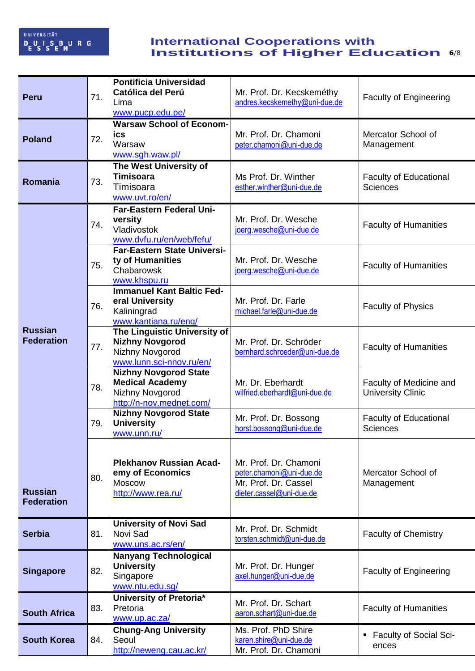## **Example 1 Institutions of Higher Education 6/8 International Cooperations with Institutions of Higher Education**

| <b>Peru</b>                         | 71. | <b>Pontificia Universidad</b><br><b>Católica del Perú</b><br>Lima<br>www.pucp.edu.pe/                 | Mr. Prof. Dr. Kecskeméthy<br>andres.kecskemethy@uni-due.de                                            | <b>Faculty of Engineering</b>                       |
|-------------------------------------|-----|-------------------------------------------------------------------------------------------------------|-------------------------------------------------------------------------------------------------------|-----------------------------------------------------|
| <b>Poland</b>                       | 72. | <b>Warsaw School of Econom-</b><br>ics<br>Warsaw<br>www.sqh.waw.pl/                                   | Mr. Prof. Dr. Chamoni<br>peter.chamoni@uni-due.de                                                     | Mercator School of<br>Management                    |
| Romania                             | 73. | The West University of<br><b>Timisoara</b><br>Timisoara<br>www.uvt.ro/en/                             | Ms Prof. Dr. Winther<br>esther.winther@uni-due.de                                                     | <b>Faculty of Educational</b><br><b>Sciences</b>    |
|                                     | 74. | Far-Eastern Federal Uni-<br>versity<br>Vladivostok<br>www.dvfu.ru/en/web/fefu/                        | Mr. Prof. Dr. Wesche<br>joerg.wesche@uni-due.de                                                       | <b>Faculty of Humanities</b>                        |
|                                     | 75. | <b>Far-Eastern State Universi-</b><br>ty of Humanities<br>Chabarowsk<br>www.khspu.ru                  | Mr. Prof. Dr. Wesche<br>joerg.wesche@uni-due.de                                                       | <b>Faculty of Humanities</b>                        |
| <b>Russian</b><br><b>Federation</b> | 76. | <b>Immanuel Kant Baltic Fed-</b><br>eral University<br>Kaliningrad<br>www.kantiana.ru/eng/            | Mr. Prof. Dr. Farle<br>michael.farle@uni-due.de                                                       | <b>Faculty of Physics</b>                           |
|                                     | 77. | The Linguistic University of<br><b>Nizhny Novgorod</b><br>Nizhny Novgorod<br>www.lunn.sci-nnov.ru/en/ | Mr. Prof. Dr. Schröder<br>bernhard.schroeder@uni-due.de                                               | <b>Faculty of Humanities</b>                        |
|                                     | 78. | <b>Nizhny Novgorod State</b><br><b>Medical Academy</b><br>Nizhny Novgorod<br>http://n-nov.mednet.com/ | Mr. Dr. Eberhardt<br>wilfried.eberhardt@uni-due.de                                                    | Faculty of Medicine and<br><b>University Clinic</b> |
|                                     | 79. | <b>Nizhny Novgorod State</b><br><b>University</b><br>www.unn.ru/                                      | Mr. Prof. Dr. Bossong<br>horst.bossong@uni-due.de                                                     | <b>Faculty of Educational</b><br><b>Sciences</b>    |
| <b>Russian</b><br><b>Federation</b> | 80. | <b>Plekhanov Russian Acad-</b><br>emy of Economics<br><b>Moscow</b><br>http://www.rea.ru/             | Mr. Prof. Dr. Chamoni<br>peter.chamoni@uni-due.de<br>Mr. Prof. Dr. Cassel<br>dieter.cassel@uni-due.de | Mercator School of<br>Management                    |
| <b>Serbia</b>                       | 81. | <b>University of Novi Sad</b><br>Novi Sad<br>www.uns.ac.rs/en/                                        | Mr. Prof. Dr. Schmidt<br>torsten.schmidt@uni-due.de                                                   | <b>Faculty of Chemistry</b>                         |
| <b>Singapore</b>                    | 82. | <b>Nanyang Technological</b><br><b>University</b><br>Singapore<br>www.ntu.edu.sg/                     | Mr. Prof. Dr. Hunger<br>axel.hunger@uni-due.de                                                        | <b>Faculty of Engineering</b>                       |
| <b>South Africa</b>                 | 83. | University of Pretoria*<br>Pretoria<br>www.up.ac.za/                                                  | Mr. Prof. Dr. Schart<br>aaron.schart@uni-due.de                                                       | <b>Faculty of Humanities</b>                        |
| <b>South Korea</b>                  | 84. | <b>Chung-Ang University</b><br>Seoul<br>http://neweng.cau.ac.kr/                                      | Ms. Prof. PhD Shire<br>karen.shire@uni-due.de<br>Mr. Prof. Dr. Chamoni                                | <b>Faculty of Social Sci-</b><br>٠<br>ences         |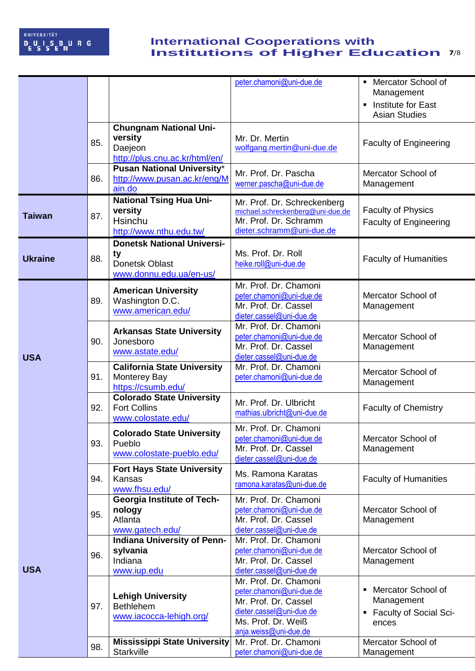## **Example 1 Institutions of Higher Education** 7/8 **International Cooperations with Institutions of Higher Education**

|                |     |                                                                                       | peter.chamoni@uni-due.de                                                                                                                             | • Mercator School of<br>Management<br>Institute for East<br>٠<br><b>Asian Studies</b> |
|----------------|-----|---------------------------------------------------------------------------------------|------------------------------------------------------------------------------------------------------------------------------------------------------|---------------------------------------------------------------------------------------|
|                | 85. | <b>Chungnam National Uni-</b><br>versity<br>Daejeon<br>http://plus.cnu.ac.kr/html/en/ | Mr. Dr. Mertin<br>wolfgang.mertin@uni-due.de                                                                                                         | <b>Faculty of Engineering</b>                                                         |
|                | 86. | Pusan National University*<br>http://www.pusan.ac.kr/eng/M<br>ain.do                  | Mr. Prof. Dr. Pascha<br>werner.pascha@uni-due.de                                                                                                     | Mercator School of<br>Management                                                      |
| <b>Taiwan</b>  | 87. | <b>National Tsing Hua Uni-</b><br>versity<br>Hsinchu<br>http://www.nthu.edu.tw/       | Mr. Prof. Dr. Schreckenberg<br>michael.schreckenberg@uni-due.de<br>Mr. Prof. Dr. Schramm<br>dieter.schramm@uni-due.de                                | <b>Faculty of Physics</b><br><b>Faculty of Engineering</b>                            |
| <b>Ukraine</b> | 88. | <b>Donetsk National Universi-</b><br>ty<br>Donetsk Oblast<br>www.donnu.edu.ua/en-us/  | Ms. Prof. Dr. Roll<br>heike.roll@uni-due.de                                                                                                          | <b>Faculty of Humanities</b>                                                          |
|                | 89. | <b>American University</b><br>Washington D.C.<br>www.american.edu/                    | Mr. Prof. Dr. Chamoni<br>peter.chamoni@uni-due.de<br>Mr. Prof. Dr. Cassel<br>dieter.cassel@uni-due.de                                                | Mercator School of<br>Management                                                      |
| <b>USA</b>     | 90. | <b>Arkansas State University</b><br>Jonesboro<br>www.astate.edu/                      | Mr. Prof. Dr. Chamoni<br>peter.chamoni@uni-due.de<br>Mr. Prof. Dr. Cassel<br>dieter.cassel@uni-due.de                                                | Mercator School of<br>Management                                                      |
|                | 91. | <b>California State University</b><br><b>Monterey Bay</b><br>https://csumb.edu/       | Mr. Prof. Dr. Chamoni<br>peter.chamoni@uni-due.de                                                                                                    | Mercator School of<br>Management                                                      |
|                | 92. | <b>Colorado State University</b><br><b>Fort Collins</b><br>www.colostate.edu/         | Mr. Prof. Dr. Ulbricht<br>mathias.ulbricht@uni-due.de                                                                                                | <b>Faculty of Chemistry</b>                                                           |
|                | 93. | <b>Colorado State University</b><br>Pueblo<br>www.colostate-pueblo.edu/               | Mr. Prof. Dr. Chamoni<br>peter.chamoni@uni-due.de<br>Mr. Prof. Dr. Cassel<br>dieter.cassel@uni-due.de                                                | Mercator School of<br>Management                                                      |
|                | 94. | <b>Fort Hays State University</b><br>Kansas<br>www.fhsu.edu/                          | Ms. Ramona Karatas<br>ramona.karatas@uni-due.de                                                                                                      | <b>Faculty of Humanities</b>                                                          |
|                | 95. | <b>Georgia Institute of Tech-</b><br>nology<br>Atlanta<br>www.gatech.edu/             | Mr. Prof. Dr. Chamoni<br>peter.chamoni@uni-due.de<br>Mr. Prof. Dr. Cassel<br>dieter.cassel@uni-due.de                                                | Mercator School of<br>Management                                                      |
| <b>USA</b>     | 96. | <b>Indiana University of Penn-</b><br>sylvania<br>Indiana<br>www.iup.edu              | Mr. Prof. Dr. Chamoni<br>peter.chamoni@uni-due.de<br>Mr. Prof. Dr. Cassel<br>dieter.cassel@uni-due.de                                                | Mercator School of<br>Management                                                      |
|                | 97. | <b>Lehigh University</b><br><b>Bethlehem</b><br>www.iacocca-lehigh.org/               | Mr. Prof. Dr. Chamoni<br>peter.chamoni@uni-due.de<br>Mr. Prof. Dr. Cassel<br>dieter.cassel@uni-due.de<br>Ms. Prof. Dr. Weiß<br>anja.weiss@uni-due.de | • Mercator School of<br>Management<br>• Faculty of Social Sci-<br>ences               |
|                | 98. | <b>Mississippi State University</b><br>Starkville                                     | Mr. Prof. Dr. Chamoni<br>peter.chamoni@uni-due.de                                                                                                    | Mercator School of<br>Management                                                      |